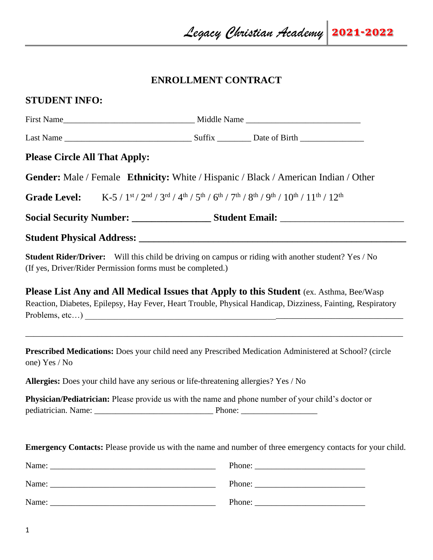## **ENROLLMENT CONTRACT**

# **STUDENT INFO:**

| <b>Please Circle All That Apply:</b>                                                |                                                                                                                                                                                                                                                                                                                                                                                                              |  |
|-------------------------------------------------------------------------------------|--------------------------------------------------------------------------------------------------------------------------------------------------------------------------------------------------------------------------------------------------------------------------------------------------------------------------------------------------------------------------------------------------------------|--|
|                                                                                     | Gender: Male / Female Ethnicity: White / Hispanic / Black / American Indian / Other                                                                                                                                                                                                                                                                                                                          |  |
| <b>Grade Level:</b>                                                                 | $K-5/1$ <sup>st</sup> / $2nd$ / $3rd$ / $4th$ / $5th$ / $6th$ / $7th$ / $8th$ / $9th$ / $10th$ / $11th$ / $12th$                                                                                                                                                                                                                                                                                             |  |
|                                                                                     |                                                                                                                                                                                                                                                                                                                                                                                                              |  |
|                                                                                     |                                                                                                                                                                                                                                                                                                                                                                                                              |  |
| (If yes, Driver/Rider Permission forms must be completed.)                          | <b>Student Rider/Driver:</b> Will this child be driving on campus or riding with another student? Yes / No                                                                                                                                                                                                                                                                                                   |  |
|                                                                                     | <b>Please List Any and All Medical Issues that Apply to this Student (ex. Asthma, Bee/Wasp)</b><br>Reaction, Diabetes, Epilepsy, Hay Fever, Heart Trouble, Physical Handicap, Dizziness, Fainting, Respiratory                                                                                                                                                                                               |  |
| one) Yes / No                                                                       | Prescribed Medications: Does your child need any Prescribed Medication Administered at School? (circle                                                                                                                                                                                                                                                                                                       |  |
| Allergies: Does your child have any serious or life-threatening allergies? Yes / No |                                                                                                                                                                                                                                                                                                                                                                                                              |  |
|                                                                                     | Physician/Pediatrician: Please provide us with the name and phone number of your child's doctor or                                                                                                                                                                                                                                                                                                           |  |
|                                                                                     | <b>Emergency Contacts:</b> Please provide us with the name and number of three emergency contacts for your child.                                                                                                                                                                                                                                                                                            |  |
|                                                                                     |                                                                                                                                                                                                                                                                                                                                                                                                              |  |
|                                                                                     | Phone: $\frac{1}{\sqrt{1-\frac{1}{2}}\sqrt{1-\frac{1}{2}}\sqrt{1-\frac{1}{2}}\sqrt{1-\frac{1}{2}}\sqrt{1-\frac{1}{2}}\sqrt{1-\frac{1}{2}}\sqrt{1-\frac{1}{2}}\sqrt{1-\frac{1}{2}}\sqrt{1-\frac{1}{2}}\sqrt{1-\frac{1}{2}}\sqrt{1-\frac{1}{2}}\sqrt{1-\frac{1}{2}}\sqrt{1-\frac{1}{2}}\sqrt{1-\frac{1}{2}}\sqrt{1-\frac{1}{2}}\sqrt{1-\frac{1}{2}}\sqrt{1-\frac{1}{2}}\sqrt{1-\frac{1}{2}}\sqrt{1-\frac{1}{2$ |  |
| Name:                                                                               | Phone: $\frac{1}{\sqrt{1-\frac{1}{2}}\sqrt{1-\frac{1}{2}}\sqrt{1-\frac{1}{2}}\sqrt{1-\frac{1}{2}}\sqrt{1-\frac{1}{2}}\sqrt{1-\frac{1}{2}}\sqrt{1-\frac{1}{2}}\sqrt{1-\frac{1}{2}}\sqrt{1-\frac{1}{2}}\sqrt{1-\frac{1}{2}}\sqrt{1-\frac{1}{2}}\sqrt{1-\frac{1}{2}}\sqrt{1-\frac{1}{2}}\sqrt{1-\frac{1}{2}}\sqrt{1-\frac{1}{2}}\sqrt{1-\frac{1}{2}}\sqrt{1-\frac{1}{2}}\sqrt{1-\frac{1}{2}}\sqrt{1-\frac{1}{2$ |  |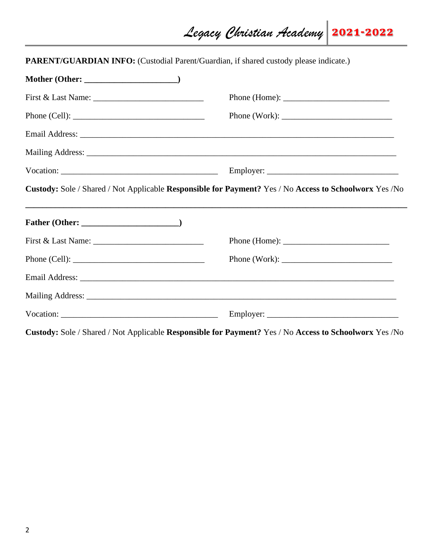| PARENT/GUARDIAN INFO: (Custodial Parent/Guardian, if shared custody please indicate.) |                                                                                                         |
|---------------------------------------------------------------------------------------|---------------------------------------------------------------------------------------------------------|
|                                                                                       |                                                                                                         |
|                                                                                       | Phone (Home): $\frac{1}{2}$                                                                             |
| Phone (Cell): $\qquad \qquad$                                                         | Phone (Work):                                                                                           |
|                                                                                       |                                                                                                         |
|                                                                                       |                                                                                                         |
|                                                                                       |                                                                                                         |
|                                                                                       | Custody: Sole / Shared / Not Applicable Responsible for Payment? Yes / No Access to Schoolworx Yes / No |
|                                                                                       |                                                                                                         |
|                                                                                       | Phone (Home): $\frac{1}{\sqrt{1-\frac{1}{2}} \cdot \frac{1}{2}}$                                        |
| Phone (Cell): $\qquad \qquad$                                                         | Phone (Work): $\frac{1}{2}$                                                                             |
|                                                                                       |                                                                                                         |
|                                                                                       |                                                                                                         |
|                                                                                       |                                                                                                         |
|                                                                                       | Custody: Sole / Shared / Not Applicable Responsible for Payment? Yes / No Access to Schoolworx Yes /No  |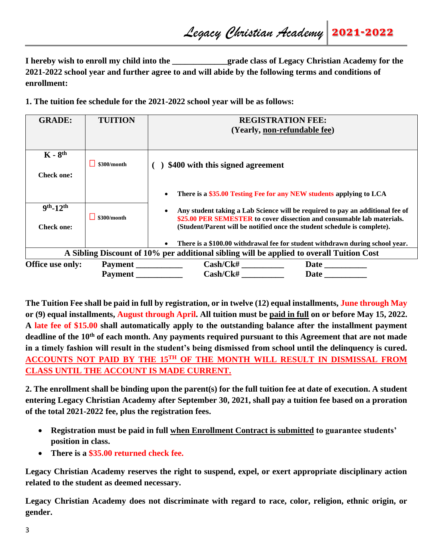**I hereby wish to enroll my child into the example 2 grade class of Legacy Christian Academy for the 2021-2022 school year and further agree to and will abide by the following terms and conditions of enrollment:**

**1. The tuition fee schedule for the 2021-2022 school year will be as follows:**

| <b>GRADE:</b>                                                                            | <b>TUITION</b> | <b>REGISTRATION FEE:</b>                                                                                                                           |  |  |
|------------------------------------------------------------------------------------------|----------------|----------------------------------------------------------------------------------------------------------------------------------------------------|--|--|
|                                                                                          |                | (Yearly, non-refundable fee)                                                                                                                       |  |  |
|                                                                                          |                |                                                                                                                                                    |  |  |
| $K - 8th$                                                                                |                |                                                                                                                                                    |  |  |
|                                                                                          | \$300/month    | \$400 with this signed agreement                                                                                                                   |  |  |
| <b>Check one:</b>                                                                        |                |                                                                                                                                                    |  |  |
|                                                                                          |                | There is a \$35.00 Testing Fee for any NEW students applying to LCA<br>$\bullet$                                                                   |  |  |
| $9th - 12th$                                                                             |                | Any student taking a Lab Science will be required to pay an additional fee of                                                                      |  |  |
| <b>Check one:</b>                                                                        | \$300/month    | \$25.00 PER SEMESTER to cover dissection and consumable lab materials.<br>(Student/Parent will be notified once the student schedule is complete). |  |  |
|                                                                                          |                | There is a \$100.00 withdrawal fee for student withdrawn during school year.                                                                       |  |  |
| A Sibling Discount of 10% per additional sibling will be applied to overall Tuition Cost |                |                                                                                                                                                    |  |  |
| Office use only:                                                                         | Payment        | Cash/Ck#<br><b>Date</b>                                                                                                                            |  |  |
|                                                                                          | Payment        | Cash/CK#<br>Date                                                                                                                                   |  |  |

**The Tuition Fee shall be paid in full by registration, or in twelve (12) equal installments, June through May or (9) equal installments, August through April. All tuition must be paid in full on or before May 15, 2022. A late fee of \$15.00 shall automatically apply to the outstanding balance after the installment payment deadline of the 10th of each month. Any payments required pursuant to this Agreement that are not made in a timely fashion will result in the student's being dismissed from school until the delinquency is cured. ACCOUNTS NOT PAID BY THE 15TH OF THE MONTH WILL RESULT IN DISMISSAL FROM CLASS UNTIL THE ACCOUNT IS MADE CURRENT.** 

**2. The enrollment shall be binding upon the parent(s) for the full tuition fee at date of execution. A student entering Legacy Christian Academy after September 30, 2021, shall pay a tuition fee based on a proration of the total 2021-2022 fee, plus the registration fees.** 

- **Registration must be paid in full when Enrollment Contract is submitted to guarantee students' position in class.**
- **There is a \$35.00 returned check fee.**

**Legacy Christian Academy reserves the right to suspend, expel, or exert appropriate disciplinary action related to the student as deemed necessary.** 

**Legacy Christian Academy does not discriminate with regard to race, color, religion, ethnic origin, or gender.**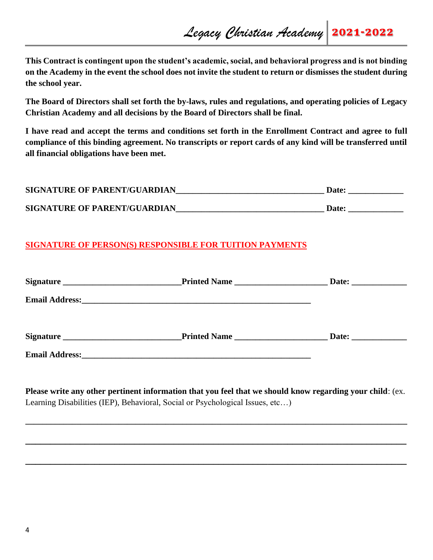**This Contract is contingent upon the student's academic, social, and behavioral progress and is not binding on the Academy in the event the school does not invite the student to return or dismisses the student during the school year.** 

**The Board of Directors shall set forth the by-laws, rules and regulations, and operating policies of Legacy Christian Academy and all decisions by the Board of Directors shall be final.** 

**I have read and accept the terms and conditions set forth in the Enrollment Contract and agree to full compliance of this binding agreement. No transcripts or report cards of any kind will be transferred until all financial obligations have been met.**

| <b>SIGNATURE OF PARENT/GUARDIAN</b> | <b>Date:</b> |
|-------------------------------------|--------------|
| <b>SIGNATURE OF PARENT/GUARDIAN</b> | <b>Date:</b> |

## **SIGNATURE OF PERSON(S) RESPONSIBLE FOR TUITION PAYMENTS**

| Printed Name                                                                                                                                                                                                                         |  |
|--------------------------------------------------------------------------------------------------------------------------------------------------------------------------------------------------------------------------------------|--|
| Email Address: <u>and the contract of the contract of the contract of the contract of the contract of the contract of the contract of the contract of the contract of the contract of the contract of the contract of the contra</u> |  |
| <b>Printed Name</b>                                                                                                                                                                                                                  |  |
|                                                                                                                                                                                                                                      |  |
|                                                                                                                                                                                                                                      |  |

**Please write any other pertinent information that you feel that we should know regarding your child**: (ex. Learning Disabilities (IEP), Behavioral, Social or Psychological Issues, etc…)

**\_\_\_\_\_\_\_\_\_\_\_\_\_\_\_\_\_\_\_\_\_\_\_\_\_\_\_\_\_\_\_\_\_\_\_\_\_\_\_\_\_\_\_\_\_\_\_\_\_\_\_\_\_\_\_\_\_\_\_\_\_\_\_\_\_\_\_\_\_\_\_\_\_\_\_\_\_\_\_\_\_\_\_\_\_\_\_\_\_\_**

**\_\_\_\_\_\_\_\_\_\_\_\_\_\_\_\_\_\_\_\_\_\_\_\_\_\_\_\_\_\_\_\_\_\_\_\_\_\_\_\_\_\_\_\_\_\_\_\_\_\_\_\_\_\_\_\_\_\_\_\_\_\_\_\_\_\_\_\_\_\_\_\_\_\_\_\_\_**

**\_\_\_\_\_\_\_\_\_\_\_\_\_\_\_\_\_\_\_\_\_\_\_\_\_\_\_\_\_\_\_\_\_\_\_\_\_\_\_\_\_\_\_\_\_\_\_\_\_\_\_\_\_\_\_\_\_\_\_\_\_\_\_\_\_\_\_\_\_\_\_\_\_\_\_\_\_**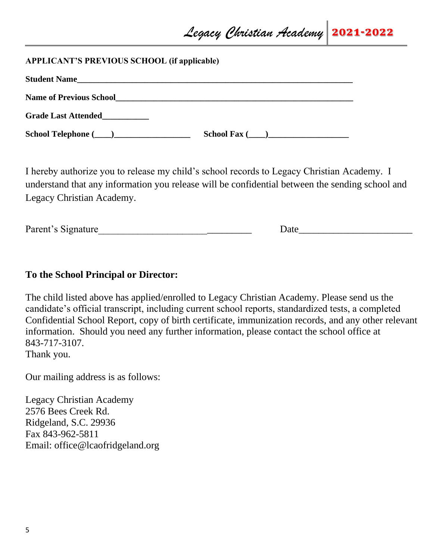### **APPLICANT'S PREVIOUS SCHOOL (if applicable)**

| <b>Student Name</b>            |                                                                                                                        |
|--------------------------------|------------------------------------------------------------------------------------------------------------------------|
| <b>Name of Previous School</b> | <u> 1989 - Andrea State Barbara, ann an Catharanachd ann an t-Ann an t-Ann an t-Ann an t-Ann an t-Ann an t-Ann an </u> |
| <b>Grade Last Attended</b>     |                                                                                                                        |
|                                | $School \, \, \text{Fax}$ ( )                                                                                          |

I hereby authorize you to release my child's school records to Legacy Christian Academy. I understand that any information you release will be confidential between the sending school and Legacy Christian Academy.

| Parent's Signature |  | Jate |
|--------------------|--|------|
|--------------------|--|------|

## **To the School Principal or Director:**

The child listed above has applied/enrolled to Legacy Christian Academy. Please send us the candidate's official transcript, including current school reports, standardized tests, a completed Confidential School Report, copy of birth certificate, immunization records, and any other relevant information. Should you need any further information, please contact the school office at 843-717-3107. Thank you.

Our mailing address is as follows:

Legacy Christian Academy 2576 Bees Creek Rd. Ridgeland, S.C. 29936 Fax 843-962-5811 Email: office@lcaofridgeland.org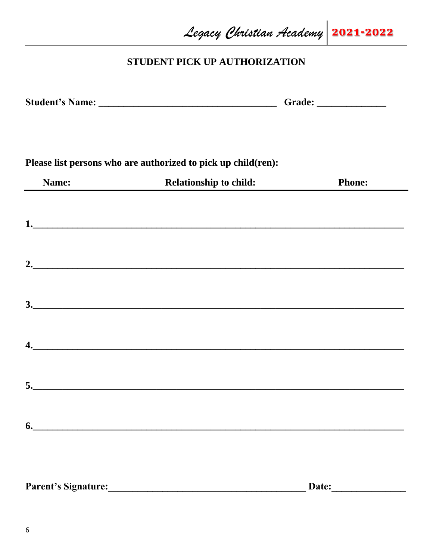Legacy Christian Academy 2021-2022

# STUDENT PICK UP AUTHORIZATION

|       | Please list persons who are authorized to pick up child(ren):       |               |
|-------|---------------------------------------------------------------------|---------------|
| Name: | <b>Relationship to child:</b><br>$\mathbb{R}^n \times \mathbb{R}^n$ | <b>Phone:</b> |
|       |                                                                     |               |
|       | 2.                                                                  |               |
|       |                                                                     |               |
|       |                                                                     |               |
|       |                                                                     |               |
|       | $\mathbf{6.}$                                                       |               |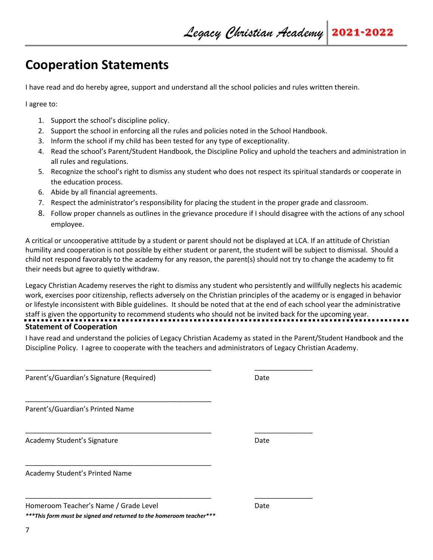# **Cooperation Statements**

I have read and do hereby agree, support and understand all the school policies and rules written therein.

I agree to:

- 1. Support the school's discipline policy.
- 2. Support the school in enforcing all the rules and policies noted in the School Handbook.
- 3. Inform the school if my child has been tested for any type of exceptionality.

\_\_\_\_\_\_\_\_\_\_\_\_\_\_\_\_\_\_\_\_\_\_\_\_\_\_\_\_\_\_\_\_\_\_\_\_\_\_\_\_\_\_\_\_\_\_\_\_ \_\_\_\_\_\_\_\_\_\_\_\_\_\_\_

\_\_\_\_\_\_\_\_\_\_\_\_\_\_\_\_\_\_\_\_\_\_\_\_\_\_\_\_\_\_\_\_\_\_\_\_\_\_\_\_\_\_\_\_\_\_\_\_ \_\_\_\_\_\_\_\_\_\_\_\_\_\_\_

\_\_\_\_\_\_\_\_\_\_\_\_\_\_\_\_\_\_\_\_\_\_\_\_\_\_\_\_\_\_\_\_\_\_\_\_\_\_\_\_\_\_\_\_\_\_\_\_ \_\_\_\_\_\_\_\_\_\_\_\_\_\_\_

- 4. Read the school's Parent/Student Handbook, the Discipline Policy and uphold the teachers and administration in all rules and regulations.
- 5. Recognize the school's right to dismiss any student who does not respect its spiritual standards or cooperate in the education process.
- 6. Abide by all financial agreements.
- 7. Respect the administrator's responsibility for placing the student in the proper grade and classroom.
- 8. Follow proper channels as outlines in the grievance procedure if I should disagree with the actions of any school employee.

A critical or uncooperative attitude by a student or parent should not be displayed at LCA. If an attitude of Christian humility and cooperation is not possible by either student or parent, the student will be subject to dismissal. Should a child not respond favorably to the academy for any reason, the parent(s) should not try to change the academy to fit their needs but agree to quietly withdraw.

Legacy Christian Academy reserves the right to dismiss any student who persistently and willfully neglects his academic work, exercises poor citizenship, reflects adversely on the Christian principles of the academy or is engaged in behavior or lifestyle inconsistent with Bible guidelines. It should be noted that at the end of each school year the administrative staff is given the opportunity to recommend students who should not be invited back for the upcoming year. **Statement of Cooperation**

I have read and understand the policies of Legacy Christian Academy as stated in the Parent/Student Handbook and the Discipline Policy. I agree to cooperate with the teachers and administrators of Legacy Christian Academy.

Parent's/Guardian's Signature (Required) Date

Parent's/Guardian's Printed Name

Academy Student's Signature **Date of Academy Student's Signature** Date

Academy Student's Printed Name

| Homeroom Teacher's Name / Grade Level | Date |
|---------------------------------------|------|
|---------------------------------------|------|

*\*\*\*This form must be signed and returned to the homeroom teacher\*\*\**

\_\_\_\_\_\_\_\_\_\_\_\_\_\_\_\_\_\_\_\_\_\_\_\_\_\_\_\_\_\_\_\_\_\_\_\_\_\_\_\_\_\_\_\_\_\_\_\_

\_\_\_\_\_\_\_\_\_\_\_\_\_\_\_\_\_\_\_\_\_\_\_\_\_\_\_\_\_\_\_\_\_\_\_\_\_\_\_\_\_\_\_\_\_\_\_\_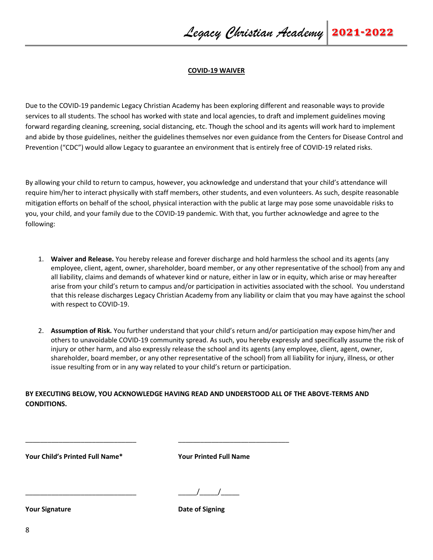#### **COVID-19 WAIVER**

Due to the COVID-19 pandemic Legacy Christian Academy has been exploring different and reasonable ways to provide services to all students. The school has worked with state and local agencies, to draft and implement guidelines moving forward regarding cleaning, screening, social distancing, etc. Though the school and its agents will work hard to implement and abide by those guidelines, neither the guidelines themselves nor even guidance from the Centers for Disease Control and Prevention ("CDC") would allow Legacy to guarantee an environment that is entirely free of COVID-19 related risks.

By allowing your child to return to campus, however, you acknowledge and understand that your child's attendance will require him/her to interact physically with staff members, other students, and even volunteers. As such, despite reasonable mitigation efforts on behalf of the school, physical interaction with the public at large may pose some unavoidable risks to you, your child, and your family due to the COVID-19 pandemic. With that, you further acknowledge and agree to the following:

- 1. **Waiver and Release.** You hereby release and forever discharge and hold harmless the school and its agents (any employee, client, agent, owner, shareholder, board member, or any other representative of the school) from any and all liability, claims and demands of whatever kind or nature, either in law or in equity, which arise or may hereafter arise from your child's return to campus and/or participation in activities associated with the school. You understand that this release discharges Legacy Christian Academy from any liability or claim that you may have against the school with respect to COVID-19.
- 2. **Assumption of Risk.** You further understand that your child's return and/or participation may expose him/her and others to unavoidable COVID-19 community spread. As such, you hereby expressly and specifically assume the risk of injury or other harm, and also expressly release the school and its agents (any employee, client, agent, owner, shareholder, board member, or any other representative of the school) from all liability for injury, illness, or other issue resulting from or in any way related to your child's return or participation.

**BY EXECUTING BELOW, YOU ACKNOWLEDGE HAVING READ AND UNDERSTOOD ALL OF THE ABOVE-TERMS AND CONDITIONS.** 

\_\_\_\_\_\_\_\_\_\_\_\_\_\_\_\_\_\_\_\_\_\_\_\_\_\_\_\_\_\_ \_\_\_\_\_\_\_\_\_\_\_\_\_\_\_\_\_\_\_\_\_\_\_\_\_\_\_\_\_\_

**Your Child's Printed Full Name\* Your Printed Full Name**

 $\frac{1}{1}$ 

**Your Signature Date of Signing**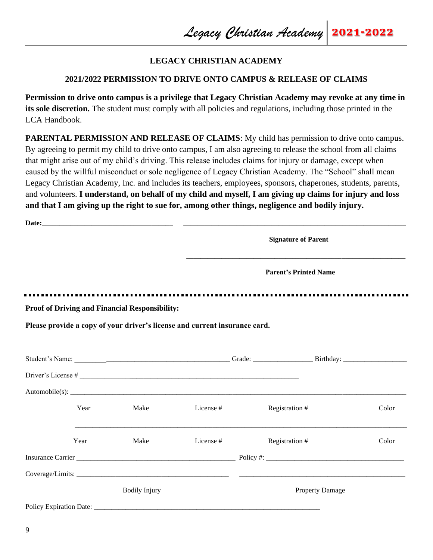### **LEGACY CHRISTIAN ACADEMY**

### **2021/2022 PERMISSION TO DRIVE ONTO CAMPUS & RELEASE OF CLAIMS**

**Permission to drive onto campus is a privilege that Legacy Christian Academy may revoke at any time in its sole discretion.** The student must comply with all policies and regulations, including those printed in the LCA Handbook.

**PARENTAL PERMISSION AND RELEASE OF CLAIMS:** My child has permission to drive onto campus. By agreeing to permit my child to drive onto campus, I am also agreeing to release the school from all claims that might arise out of my child's driving. This release includes claims for injury or damage, except when caused by the willful misconduct or sole negligence of Legacy Christian Academy. The "School" shall mean Legacy Christian Academy, Inc. and includes its teachers, employees, sponsors, chaperones, students, parents, and volunteers. **I understand, on behalf of my child and myself, I am giving up claims for injury and loss and that I am giving up the right to sue for, among other things, negligence and bodily injury.** 

|                                |      |                                                       |                                                                            | <b>Signature of Parent</b>   |       |
|--------------------------------|------|-------------------------------------------------------|----------------------------------------------------------------------------|------------------------------|-------|
|                                |      |                                                       |                                                                            | <b>Parent's Printed Name</b> |       |
|                                |      | <b>Proof of Driving and Financial Responsibility:</b> |                                                                            |                              |       |
|                                |      |                                                       | Please provide a copy of your driver's license and current insurance card. |                              |       |
|                                |      |                                                       |                                                                            |                              |       |
|                                |      |                                                       |                                                                            |                              |       |
|                                |      |                                                       |                                                                            |                              |       |
|                                | Year | Make                                                  | License #                                                                  | Registration #               | Color |
|                                | Year | Make                                                  | License #                                                                  | Registration #               | Color |
|                                |      |                                                       |                                                                            |                              |       |
|                                |      |                                                       |                                                                            |                              |       |
|                                |      | <b>Bodily Injury</b>                                  |                                                                            | <b>Property Damage</b>       |       |
| <b>Policy Expiration Date:</b> |      |                                                       |                                                                            |                              |       |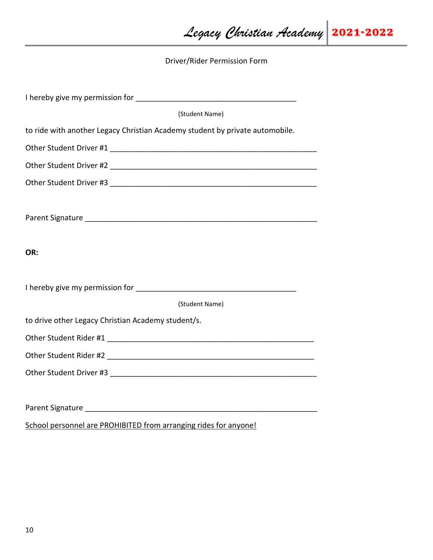Driver/Rider Permission Form

| (Student Name)                                                               |  |  |
|------------------------------------------------------------------------------|--|--|
| to ride with another Legacy Christian Academy student by private automobile. |  |  |
|                                                                              |  |  |
|                                                                              |  |  |
|                                                                              |  |  |
|                                                                              |  |  |
|                                                                              |  |  |
|                                                                              |  |  |
| OR:                                                                          |  |  |
|                                                                              |  |  |
|                                                                              |  |  |
| (Student Name)                                                               |  |  |
| to drive other Legacy Christian Academy student/s.                           |  |  |
|                                                                              |  |  |
|                                                                              |  |  |
|                                                                              |  |  |
|                                                                              |  |  |
|                                                                              |  |  |
| School personnel are PROHIBITED from arranging rides for anyone!             |  |  |